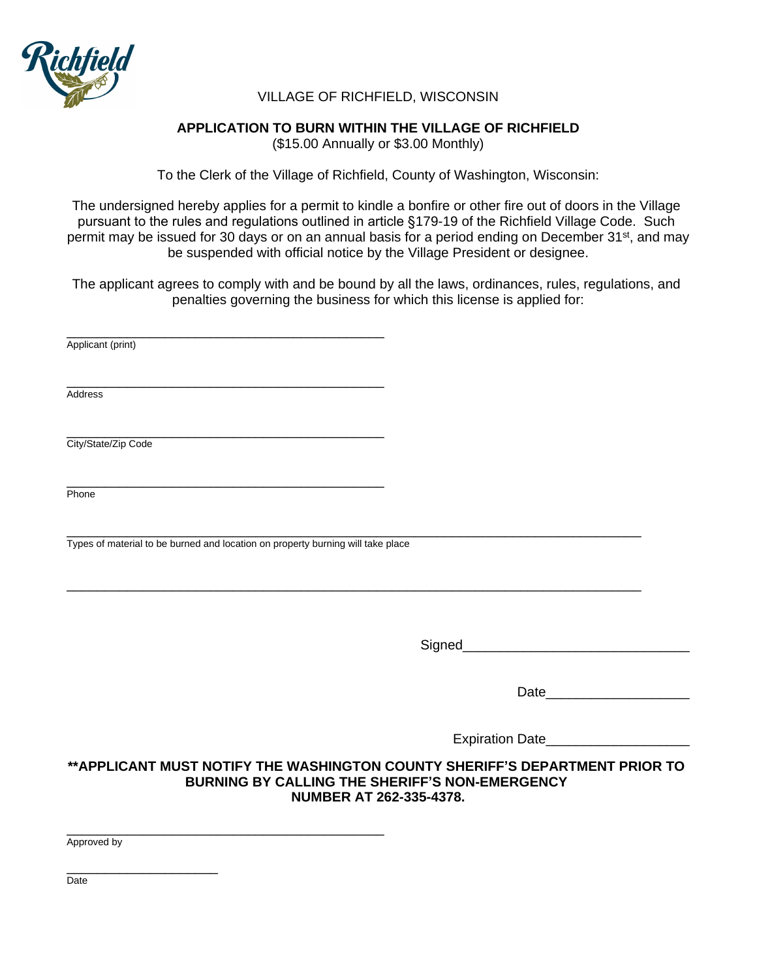

# VILLAGE OF RICHFIELD, WISCONSIN

# **APPLICATION TO BURN WITHIN THE VILLAGE OF RICHFIELD**

(\$15.00 Annually or \$3.00 Monthly)

To the Clerk of the Village of Richfield, County of Washington, Wisconsin:

The undersigned hereby applies for a permit to kindle a bonfire or other fire out of doors in the Village pursuant to the rules and regulations outlined in article §179-19 of the Richfield Village Code. Such permit may be issued for 30 days or on an annual basis for a period ending on December 31<sup>st</sup>, and may be suspended with official notice by the Village President or designee.

The applicant agrees to comply with and be bound by all the laws, ordinances, rules, regulations, and penalties governing the business for which this license is applied for:

| Applicant (print)                                                               |                                                                                                                 |
|---------------------------------------------------------------------------------|-----------------------------------------------------------------------------------------------------------------|
|                                                                                 |                                                                                                                 |
| Address                                                                         |                                                                                                                 |
|                                                                                 |                                                                                                                 |
| City/State/Zip Code                                                             |                                                                                                                 |
|                                                                                 |                                                                                                                 |
|                                                                                 |                                                                                                                 |
| Phone                                                                           |                                                                                                                 |
|                                                                                 |                                                                                                                 |
| Types of material to be burned and location on property burning will take place |                                                                                                                 |
|                                                                                 |                                                                                                                 |
|                                                                                 |                                                                                                                 |
|                                                                                 |                                                                                                                 |
|                                                                                 |                                                                                                                 |
|                                                                                 |                                                                                                                 |
|                                                                                 |                                                                                                                 |
|                                                                                 | Date and the state of the state of the state of the state of the state of the state of the state of the state o |
|                                                                                 |                                                                                                                 |
|                                                                                 | Expiration Date                                                                                                 |
| ** APPLICANT MUST NOTIFY THE WASHINGTON COUNTY SHERIFF'S DEPARTMENT PRIOR TO    |                                                                                                                 |
| BURNING BY CALLING THE SHERIFF'S NON-EMERGENCY                                  | NUMBER AT 262-335-4378.                                                                                         |

\_\_\_\_\_\_\_\_\_\_\_\_\_\_\_\_\_\_\_\_\_\_\_\_\_\_\_\_\_\_\_\_\_\_\_\_\_\_\_\_\_\_ Approved by

\_\_\_\_\_\_\_\_\_\_\_\_\_\_\_\_\_\_\_\_

Date